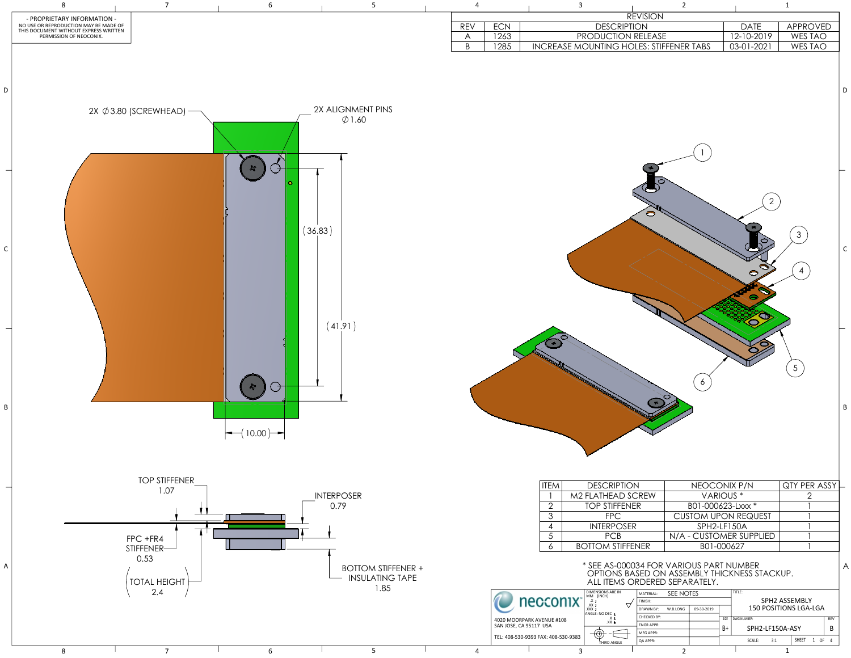|     |            |                                                     |   |                                                                                                                                                      | <b>REVISION</b>              |                |                                      |    |                            |                                |     |              |
|-----|------------|-----------------------------------------------------|---|------------------------------------------------------------------------------------------------------------------------------------------------------|------------------------------|----------------|--------------------------------------|----|----------------------------|--------------------------------|-----|--------------|
| REV | <b>ECN</b> |                                                     |   | <b>DESCRIPTION</b>                                                                                                                                   |                              |                |                                      |    | <b>DATE</b>                | APPROVED                       |     |              |
| A   | 1263       |                                                     |   | PRODUCTION RELEASE                                                                                                                                   |                              |                |                                      |    | 12-10-2019                 | WES TAO                        |     |              |
| B   | 1285       |                                                     |   | INCREASE MOUNTING HOLES: STIFFENER TABS                                                                                                              |                              |                |                                      |    | 03-01-2021                 | WES TAO                        |     |              |
|     |            |                                                     |   |                                                                                                                                                      |                              |                |                                      |    | $\overline{2}$             |                                |     | D            |
|     |            |                                                     |   |                                                                                                                                                      |                              |                |                                      |    |                            | 3<br>4                         |     | $\mathsf{C}$ |
|     |            |                                                     |   |                                                                                                                                                      |                              |                | 6                                    |    |                            | $5\overline{)}$                |     | B            |
|     |            | <b>ITEM</b>                                         |   | <b>DESCRIPTION</b>                                                                                                                                   |                              |                |                                      |    |                            |                                |     |              |
|     |            | 1                                                   |   | M2 FLATHEAD SCREW                                                                                                                                    |                              |                | NEOCONIX P/N<br>VARIOUS <sup>*</sup> |    |                            | QTY PER ASSY<br>$\overline{2}$ |     |              |
|     |            | $\overline{2}$                                      |   | <b>TOP STIFFENER</b>                                                                                                                                 |                              |                | B01-000623-Lxxx *                    |    |                            |                                |     |              |
|     |            | $\overline{3}$                                      |   | <b>FPC</b>                                                                                                                                           |                              |                |                                      |    | <b>CUSTOM UPON REQUEST</b> |                                |     |              |
|     |            | $\overline{\mathcal{A}}$                            |   | <b>INTERPOSER</b>                                                                                                                                    |                              |                | SPH2-LF150A                          |    |                            |                                |     |              |
|     |            | 5<br>6                                              |   | <b>PCB</b><br><b>BOTTOM STIFFENER</b>                                                                                                                |                              |                | B01-000627                           |    | N/A - CUSTOMER SUPPLIED    |                                |     |              |
|     |            |                                                     |   | * SEE AS-000034 FOR VARIOUS PART NUMBER<br>OPTIONS BASED ON ASSEMBLY THICKNESS STACKUP.<br>ALL ITEMS ORDERED SEPARATELY.<br><b>DIMENSIONS ARE IN</b> |                              |                |                                      |    |                            |                                |     | A            |
|     |            | necconix <sup>-</sup>                               |   | MM [INCH]<br>$\begin{array}{c} .X \pm \\ .XX \pm \end{array}$                                                                                        | MATERIAL:<br>FINISH:         | SEE NOTES      |                                      |    | TITLE:                     | SPH2 ASSEMBLY                  |     |              |
|     |            |                                                     |   | $\pm$ XXX.<br>ANGLE: NO DEC ±                                                                                                                        | DRAWN BY:<br>CHECKED BY:     | W.B.LONG       | 09-30-2019                           |    | SIZE   DWG NUMBER:         | 150 POSITIONS LGA-LGA          | REV |              |
|     |            | 4020 MOORPARK AVENUE #108<br>SAN JOSE, CA 95117 USA |   | $\frac{.X}{.XX}$<br>⌒                                                                                                                                | <b>ENGR APPR:</b>            |                |                                      | B+ | SPH2-LF150A-ASY            |                                | B   |              |
|     |            | TEL: 408-530-9393 FAX: 408-530-9383                 |   | THIRD ANGLE                                                                                                                                          | <b>MFG APPR:</b><br>QA APPR: |                |                                      |    | SCALE:<br>3:1              | SHEET 1 OF 4                   |     |              |
| 4   |            |                                                     | 3 |                                                                                                                                                      |                              | $\overline{2}$ |                                      |    |                            | 1                              |     |              |

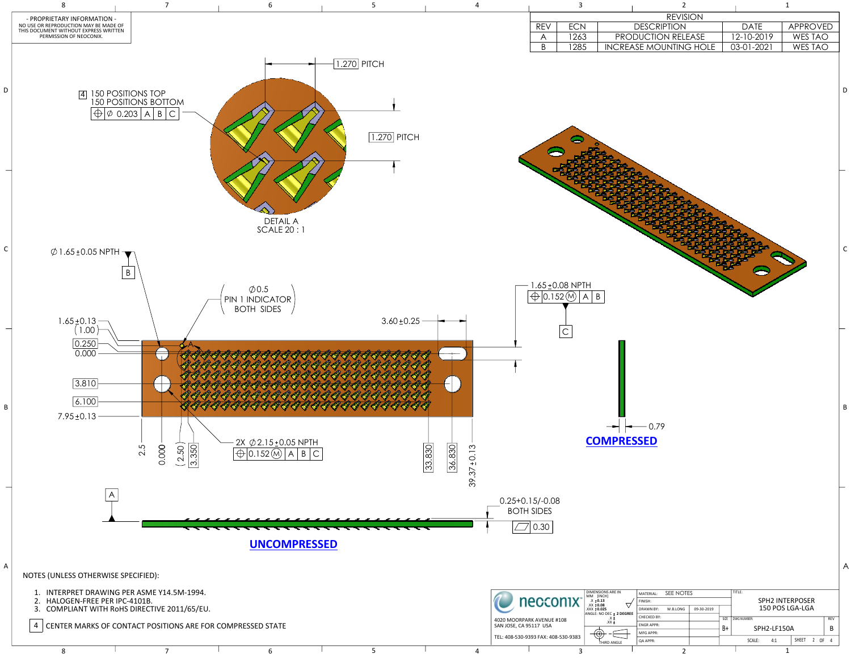|                | $\overline{3}$                                                                        | $\overline{2}$                |            | $\mathbf 1$    |  |
|----------------|---------------------------------------------------------------------------------------|-------------------------------|------------|----------------|--|
|                |                                                                                       | <b>REVISION</b>               |            |                |  |
| <b>REV</b>     | <b>ECN</b>                                                                            | <b>DESCRIPTION</b>            | DATE       | APPROVED       |  |
| $\bigwedge$    | 1263                                                                                  | PRODUCTION RELEASE            | 12-10-2019 | <b>WES TAO</b> |  |
| $\overline{B}$ | 1285                                                                                  | <b>INCREASE MOUNTING HOLE</b> | 03-01-2021 | <b>WES TAO</b> |  |
|                |                                                                                       |                               |            |                |  |
|                | $.65 \pm 0.08$ NPTH<br>$\overline{ 0.152 \, (\text{M})}$<br>$\vert$ B<br>$\mathsf{A}$ |                               |            |                |  |
|                | $\mathsf C$                                                                           |                               |            |                |  |



8 1 2 1 2 1

|      | MATERIAL:        | SEE NOTES |            | TITLE:                 |                 |                  |     |              |  |            |  |  |
|------|------------------|-----------|------------|------------------------|-----------------|------------------|-----|--------------|--|------------|--|--|
| GREE | FINISH:          |           |            | <b>SPH2 INTERPOSER</b> |                 |                  |     |              |  |            |  |  |
|      | <b>DRAWN BY:</b> | W.B.LONG  | 09-30-2019 |                        | 150 POS LGA-LGA |                  |     |              |  |            |  |  |
|      | CHECKED BY:      |           |            | <b>SIZE</b>            | DWG NUMBER:     |                  |     |              |  | <b>REV</b> |  |  |
|      | <b>ENGRAPPR:</b> |           |            | B+                     |                 | SPH2-LF150A<br>R |     |              |  |            |  |  |
|      | MFG APPR:        |           |            |                        |                 |                  |     |              |  |            |  |  |
|      | <b>QA APPR:</b>  |           |            |                        |                 | SCALE:           | 4:1 | <b>SHEET</b> |  | 2 OF       |  |  |
|      | ∍                |           |            |                        |                 |                  | л   |              |  |            |  |  |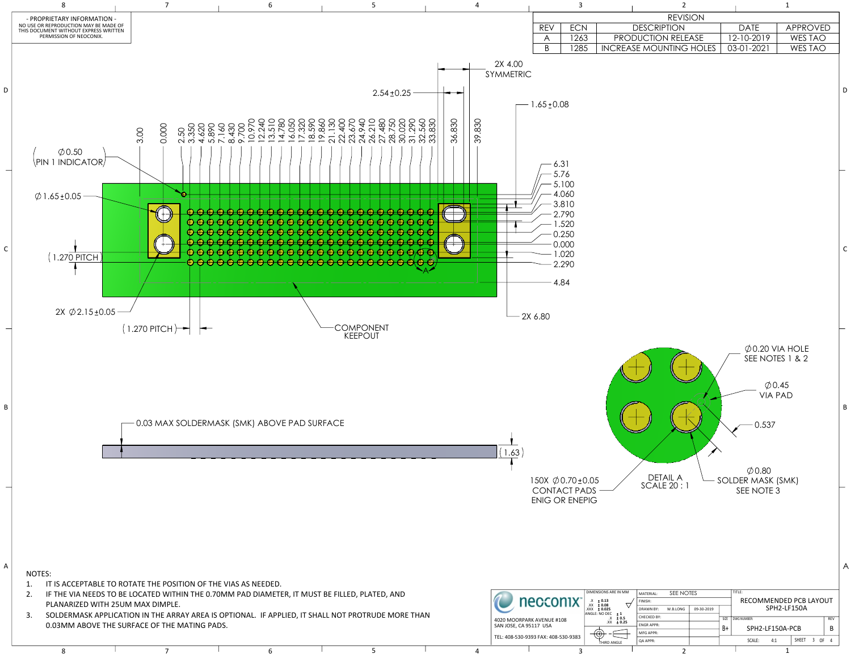| $\overline{3}$                                                                                                   |                                                                | $\overline{2}$                                       |            |                                                                                                                                  | $\mathbf 1$               |   |
|------------------------------------------------------------------------------------------------------------------|----------------------------------------------------------------|------------------------------------------------------|------------|----------------------------------------------------------------------------------------------------------------------------------|---------------------------|---|
|                                                                                                                  |                                                                | <b>REVISION</b>                                      |            |                                                                                                                                  |                           |   |
| <b>REV</b><br><b>ECN</b>                                                                                         |                                                                | <b>DESCRIPTION</b>                                   |            | <b>DATE</b>                                                                                                                      | <b>APPROVED</b>           |   |
| 1263<br>A<br>B<br>1285                                                                                           |                                                                | PRODUCTION RELEASE<br><b>INCREASE MOUNTING HOLES</b> |            | 12-10-2019<br>03-01-2021                                                                                                         | <b>WES TAO</b><br>WES TAO |   |
| $55 \pm 0.08$<br>6.31                                                                                            |                                                                |                                                      |            |                                                                                                                                  |                           | L |
| 5.76<br>5.100<br>4.060<br>$-3.810$<br>$-2.790$<br>$-1.520$<br>0.250<br>0.000<br>$-1.020$<br>2.290<br>4.84<br>.80 |                                                                |                                                      |            |                                                                                                                                  |                           |   |
| OX $\emptyset$ 0.70 ± 0.05                                                                                       |                                                                | <b>DETAIL A</b>                                      |            | $\emptyset$ 0.20 VIA HOLE<br>SEE NOTES 1 & 2<br>$\varphi$ 0.45<br><b>VIA PAD</b><br>0.537<br>$\varphi$ 0.80<br>SOLDER MASK (SMK) |                           | E |
| <b>ONTACT PADS</b><br><b>JIG OR ENEPIG</b>                                                                       | DIMENSIONS ARE IN MM                                           | <b>SCALE 20:1</b>                                    |            | SEE NOTE 3                                                                                                                       |                           | 7 |
| con                                                                                                              | $X + 0.13$<br>$XX + 0.08$<br>$XXX + 0.025$                     | SEE NOTES<br>MATERIAL:<br>FINISH:                    |            | TITLE:                                                                                                                           | RECOMMENDED PCB LAYOUT    |   |
| <b>VENUE #108</b>                                                                                                | ANGLE: NO DEC $\pm$ 1<br>ANGLE: NO DEC $\pm$ 1<br>.X $\pm$ 0.5 | <b>DRAWN BY:</b><br>W.B.LONG<br>CHECKED BY:          | 09-30-2019 | SIZE   DWG NUMBER:                                                                                                               | SPH2-LF150A<br>REV        |   |

B+



B

ENGR APPR:

MFG APPR: QA APPR:

SCALE: 4:1 | SHEET 3 OF 4

SPH2-LF150A-PCB